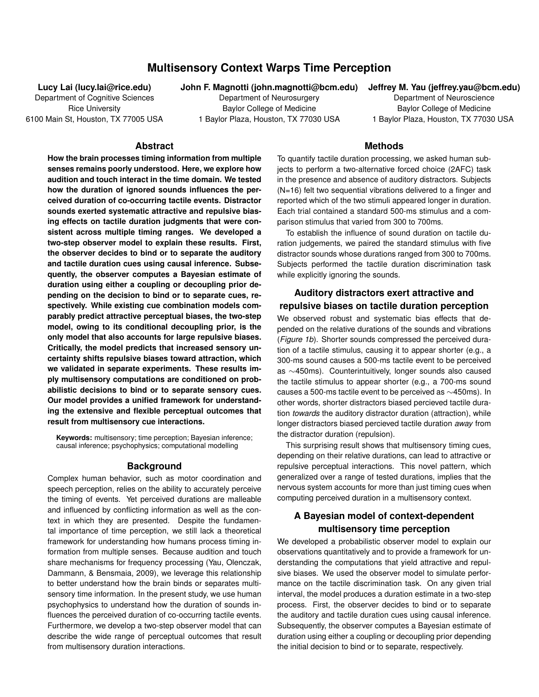# **Multisensory Context Warps Time Perception**

**Lucy Lai (lucy.lai@rice.edu)**

Department of Cognitive Sciences Rice University 6100 Main St, Houston, TX 77005 USA **John F. Magnotti (john.magnotti@bcm.edu) Jeffrey M. Yau (jeffrey.yau@bcm.edu)**

Department of Neurosurgery Baylor College of Medicine 1 Baylor Plaza, Houston, TX 77030 USA

Department of Neuroscience Baylor College of Medicine 1 Baylor Plaza, Houston, TX 77030 USA

#### **Abstract**

**How the brain processes timing information from multiple senses remains poorly understood. Here, we explore how audition and touch interact in the time domain. We tested how the duration of ignored sounds influences the perceived duration of co-occurring tactile events. Distractor sounds exerted systematic attractive and repulsive biasing effects on tactile duration judgments that were consistent across multiple timing ranges. We developed a two-step observer model to explain these results. First, the observer decides to bind or to separate the auditory and tactile duration cues using causal inference. Subsequently, the observer computes a Bayesian estimate of duration using either a coupling or decoupling prior depending on the decision to bind or to separate cues, respectively. While existing cue combination models comparably predict attractive perceptual biases, the two-step model, owing to its conditional decoupling prior, is the only model that also accounts for large repulsive biases. Critically, the model predicts that increased sensory uncertainty shifts repulsive biases toward attraction, which we validated in separate experiments. These results imply multisensory computations are conditioned on probabilistic decisions to bind or to separate sensory cues. Our model provides a unified framework for understanding the extensive and flexible perceptual outcomes that result from multisensory cue interactions.**

**Keywords:** multisensory; time perception; Bayesian inference; causal inference; psychophysics; computational modelling

#### **Background**

Complex human behavior, such as motor coordination and speech perception, relies on the ability to accurately perceive the timing of events. Yet perceived durations are malleable and influenced by conflicting information as well as the context in which they are presented. Despite the fundamental importance of time perception, we still lack a theoretical framework for understanding how humans process timing information from multiple senses. Because audition and touch share mechanisms for frequency processing (Yau, Olenczak, Dammann, & Bensmaia, 2009), we leverage this relationship to better understand how the brain binds or separates multisensory time information. In the present study, we use human psychophysics to understand how the duration of sounds influences the perceived duration of co-occurring tactile events. Furthermore, we develop a two-step observer model that can describe the wide range of perceptual outcomes that result from multisensory duration interactions.

To quantify tactile duration processing, we asked human subjects to perform a two-alternative forced choice (2AFC) task in the presence and absence of auditory distractors. Subjects (N=16) felt two sequential vibrations delivered to a finger and reported which of the two stimuli appeared longer in duration. Each trial contained a standard 500-ms stimulus and a comparison stimulus that varied from 300 to 700ms.

**Methods**

To establish the influence of sound duration on tactile duration judgements, we paired the standard stimulus with five distractor sounds whose durations ranged from 300 to 700ms. Subjects performed the tactile duration discrimination task while explicitly ignoring the sounds.

# **Auditory distractors exert attractive and repulsive biases on tactile duration perception**

We observed robust and systematic bias effects that depended on the relative durations of the sounds and vibrations (*Figure 1b*). Shorter sounds compressed the perceived duration of a tactile stimulus, causing it to appear shorter (e.g., a 300-ms sound causes a 500-ms tactile event to be perceived as ∼450ms). Counterintuitively, longer sounds also caused the tactile stimulus to appear shorter (e.g., a 700-ms sound causes a 500-ms tactile event to be perceived as ∼450ms). In other words, shorter distractors biased percieved tactile duration *towards* the auditory distractor duration (attraction), while longer distractors biased percieved tactile duration *away* from the distractor duration (repulsion).

This surprising result shows that multisensory timing cues, depending on their relative durations, can lead to attractive or repulsive perceptual interactions. This novel pattern, which generalized over a range of tested durations, implies that the nervous system accounts for more than just timing cues when computing perceived duration in a multisensory context.

## **A Bayesian model of context-dependent multisensory time perception**

We developed a probabilistic observer model to explain our observations quantitatively and to provide a framework for understanding the computations that yield attractive and repulsive biases. We used the observer model to simulate performance on the tactile discrimination task. On any given trial interval, the model produces a duration estimate in a two-step process. First, the observer decides to bind or to separate the auditory and tactile duration cues using causal inference. Subsequently, the observer computes a Bayesian estimate of duration using either a coupling or decoupling prior depending the initial decision to bind or to separate, respectively.